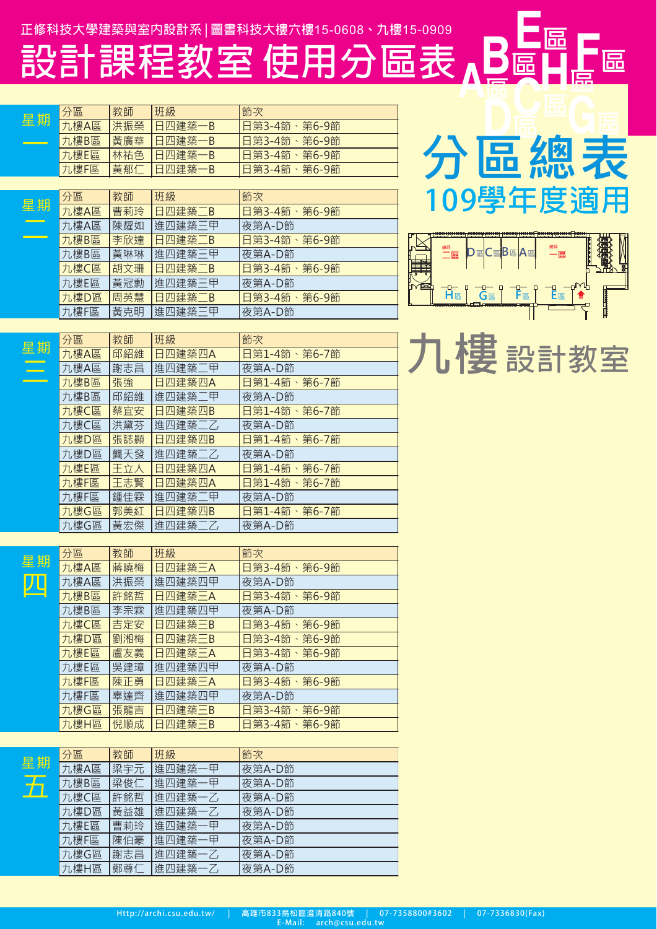設計課程教室使用分區表

| 星期 | 分區    | 教師  | 班級          | 節次                                          |
|----|-------|-----|-------------|---------------------------------------------|
|    | 九樓A區  | 洪振榮 | 日四建築·<br>-B | 日第3-4節<br>第6-9節<br>$\overline{\phantom{0}}$ |
|    | 九樓B區  | 黃廣華 | 日四建築<br>-B  | 日第3-4節<br>第6-9節<br>$\bar{ }$                |
|    | 九樓E區  | 林祐色 | 日四建築<br>۰B  | 日第3-4節、<br>第6-9節                            |
|    | 九樓F區  | 黃郁仁 | 日四建築-<br>-B | 日第3-4節、<br>第6-9節                            |
|    |       |     |             |                                             |
|    | 分區    | 教師  | 班級          | 節次                                          |
| 星期 | 九樓A區  | 曹莉玲 | 日四建築二B      | 日第3-4節、第6-9節                                |
|    | 九樓A區  | 陳耀如 | 進四建築三甲      | 夜第A-D節                                      |
|    | 九樓B區  | 李欣達 | 日四建築二B      | 日第3-4節、<br>第6-9節                            |
|    | 九樓B區  | 黃琳琳 | 進四建築三甲      | 夜第A-D節                                      |
|    | 九樓C區  | 胡文珊 | 日四建築二B      | 第6-9節<br>日第3-4節、                            |
|    | 力.樓F區 | 黃冠動 | 淮四建築三甲      | 夜第A-D節                                      |

**日四建築二B** 

進四建築三甲

進四建築二乙



匾



| $\overline{\Xi}$ | 教師  | 班級     | 節次               | 樓設計教室 |
|------------------|-----|--------|------------------|-------|
| 婁A區              | 邱紹維 | 日四建築四A | 日第1-4節<br>第6-7節  |       |
| 婁A區              | 謝志昌 | 進四建築二甲 | 夜第A-D節           |       |
| 摟B區              | 張強  | 日四建築四A | 日第1-4節、<br>第6-7節 |       |
| 摟B區              | 邱紹維 | 進四建築二甲 | 夜第A-D節           |       |
| <b>摟C區</b>       | 蔡宜安 | 日四建築四B | 日第1-4節、<br>第6-7節 |       |
| <b>摟C區</b>       | 洪黛芬 | 進四建築二乙 | 夜第A-D節           |       |
| 婁D區              | 張誌顯 | 日四建築四B | 日第1-4節、第6-7節     |       |
| <b>樓D區</b>       | 龔天發 | 進四建築二乙 | 夜第A-D節           |       |
| 摟E區              | 王立人 | 日四建築四A | 日第1-4節、<br>第6-7節 |       |
| 嘍F區              | 王志賢 | 日四建築四A | 日第1-4節、第6-7節     |       |
| 嘍F區              | 鍾佳霖 | 進四建築二甲 | 夜第A-D節           |       |
| 婁G區              | 郭美紅 | 日四建築四B | 日第1-4節、第6-7節     |       |

夜第A-D節

日第3-4節、第6-9節

夜第A-D節

九樓D區

力,樓F區

<u>分</u> 九

カカカカカカカカ

 $\overline{\hbar}$ 九 九樓G區 周英慧

黃克明

黃宏傑

|   | 分區   | 教師  | 班級     | 節次           |
|---|------|-----|--------|--------------|
| 抈 | 九樓A區 | 蔣曉梅 | 日四建築三A | 日第3-4節、第6-9節 |
|   | 九樓A區 | 洪振榮 | 進四建築四甲 | 夜第A-D節       |
|   | 九樓B區 | 許銘哲 | 日四建築三A | 日第3-4節、第6-9節 |
|   | 九樓B區 | 李宗霖 | 進四建築四甲 | 夜第A-D節       |
|   | 九樓C區 | 吉定安 | 日四建築三B | 日第3-4節、第6-9節 |
|   | 九樓D區 | 劉湘梅 | 日四建築三B | 日第3-4節、第6-9節 |
|   | 九樓E區 | 盧友義 | 日四建築三A | 日第3-4節、第6-9節 |
|   | 九樓E區 | 吳建璋 | 進四建築四甲 | 夜第A-D節       |
|   | 九樓F區 | 陳正勇 | 日四建築三A | 日第3-4節、第6-9節 |
|   | 九樓F區 | 辜達齊 | 進四建築四甲 | 夜第A-D節       |
|   | 九樓G區 | 張龍吉 | 日四建築三B | 日第3-4節、第6-9節 |
|   | 九樓日區 | 倪順成 | 日四建筮二R | 日第3-4節、筆6-9節 |

| 分區   | 教師  | 班級     | 節次     |
|------|-----|--------|--------|
| 九樓A區 | 梁宇元 | 進四建築一甲 | 夜第A-D節 |
| 九樓B區 | 梁俊仁 | 進四建築一甲 | 夜第A-D節 |
| 九樓C區 | 許銘哲 | 進四建築一乙 | 夜第A-D節 |
| 九樓D區 | 黃益雄 | 進四建築一乙 | 夜第A-D節 |
| 九樓E區 | 曹莉玲 | 進四建築一甲 | 夜第A-D節 |
| 九樓F區 | 陳伯豪 | 進四建築一甲 | 夜第A-D節 |
| 九樓G區 | 謝志昌 | 進四建築一乙 | 夜第A-D節 |
| 九樓H區 | 鄭尊仁 | 進四建築一乙 | 夜第A-D節 |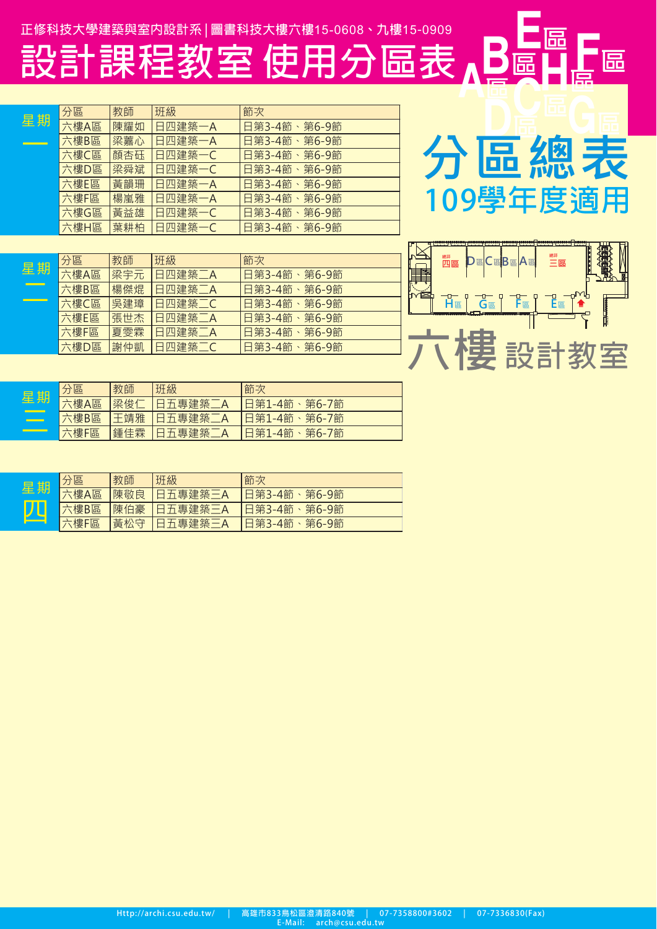正修科技大學建築與室内設計系 | 圖書科技大樓六樓15-0608、九樓15-0909

設計課程教室使用分區表。

|    | 分區   | 教師  | 班級     | 節次           |
|----|------|-----|--------|--------------|
| 星期 | 六樓A區 | 陳耀如 | 日四建築一A | 日第3-4節、第6-9節 |
|    | 六樓B區 | 梁嘉心 | 日四建築一A | 日第3-4節、第6-9節 |
|    | 六樓C區 | 顏杏砡 | 日四建築一C | 日第3-4節、第6-9節 |
|    | 六樓D區 | 梁舜斌 | 日四建築一C | 日第3-4節、第6-9節 |
|    | 六樓E區 | 黃韻珊 | 日四建築一A | 日第3-4節、第6-9節 |
|    | 六樓F區 | 楊嵐雅 | 日四建築一A | 日第3-4節、第6-9節 |
|    | 六樓G區 | 黃益雄 | 日四建築一C | 日第3-4節、第6-9節 |
|    | 六樓H區 | 葉耕柏 | 日四建築一C | 日第3-4節、第6-9節 |

|  | <sup>總評</sup> 區      |                | <b>DECEBEAE</b> | ■<br>三區    |  |
|--|----------------------|----------------|-----------------|------------|--|
|  | <b>H<sub>區</sub></b> | $\overline{G}$ | $F_{E}$         | <b>E</b> 區 |  |
|  |                      |                |                 |            |  |
|  |                      |                |                 |            |  |

分區總表

109學年度滴用

, E<br>匾 Ц,

Re

| 里期 | 分區   | 教師  | 班級         | 節次           |
|----|------|-----|------------|--------------|
|    | 六樓A區 |     | 梁宇元 日四建築二A | 旧第3-4節、第6-9節 |
|    | 六樓B區 | 楊傑焜 | 日四建築二A     | 日第3-4節、第6-9節 |
|    | 六樓C區 | 吳建璋 | 旧四建築二C     | 日第3-4節、第6-9節 |
|    | 六樓E區 | 張世杰 | 日四建築二A     | 日第3-4節、第6-9節 |
|    | 六樓F區 | 夏雯霖 | 日四建築二A     | 日第3-4節、第6-9節 |
|    | 六樓D區 | 謝仲凱 | 日四建築二C     | 日第3-4節、第6-9節 |
|    |      |     |            |              |

| 甘日<br>星               | 分區   | 教師  | 班級              | 節次                  |
|-----------------------|------|-----|-----------------|---------------------|
|                       | 、樓A區 | 梁俊仁 | 五專建築            | 、第6-7節<br>日第1-4節    |
| <u> - Constantino</u> | 六樓B區 | 王靖雅 | <b>「日五專建築二A</b> | 日第1-4節、第6-7節        |
|                       | 六樓F區 | 鍾佳霖 | 日五專建築.          | 第6-7節<br>-4節<br>日第1 |

| ੀਤੀ | 分區          | 教師  | 班級      | 節次               |
|-----|-------------|-----|---------|------------------|
| 湣   | 、樓A區        | 陳敬良 | 日五專建築三A | 日第3-4節、<br>第6-9節 |
|     | 六樓B區        | 陳伯豪 | 日五專建築三A | 日第3-4節、第6-9節     |
|     | <b>六樓F區</b> | 黃松守 | 日五專建築三A | 第6-9節<br>日第3-4節  |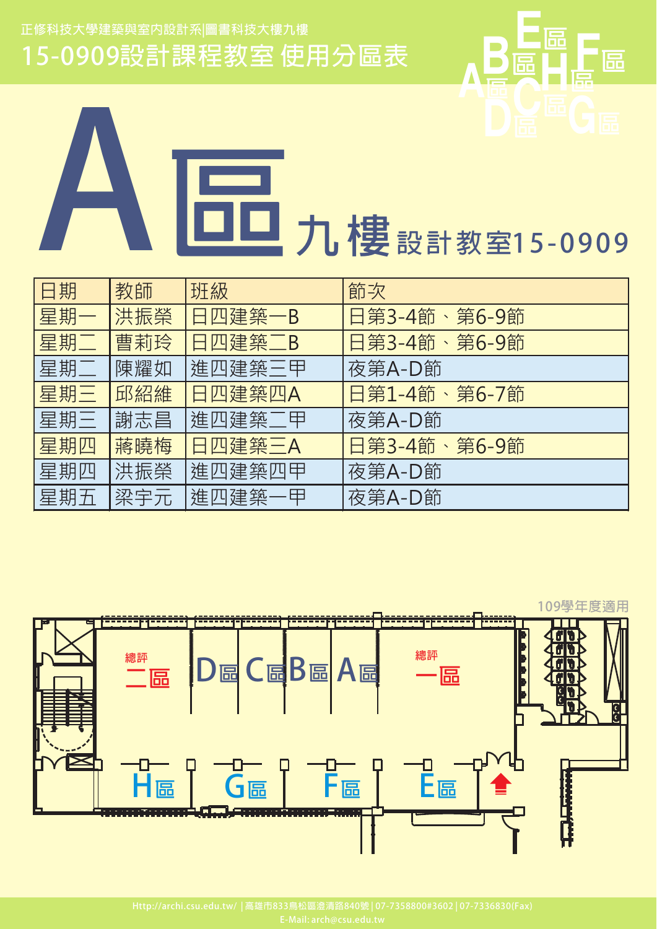

**A**<br> **A**<br>
日工九樓設計数室15-0909

| 日期  | 教師  | 班級     | 節次           |
|-----|-----|--------|--------------|
| 星期一 | 洪振榮 | 日四建築一B | 日第3-4節、第6-9節 |
| 星期二 | 曹莉玲 | 日四建築二B | 日第3-4節、第6-9節 |
| 星期二 | 陳耀如 | 進四建築三甲 | 夜第A-D節       |
| 星期三 | 邱紹維 | 日四建築四A | 日第1-4節、第6-7節 |
| 星期三 | 謝志昌 | 進四建築二甲 | 夜第A-D節       |
| 星期四 | 蔣曉梅 | 日四建築三A | 日第3-4節、第6-9節 |
| 星期四 | 洪振榮 | 進四建築四甲 | 夜第A-D節       |
| 星期五 | 梁宇元 | 進四建築一甲 | 夜第A-D節       |



**Http://archi.csu.edu.tw/ | 833 
840 | 07-7358800#3602 | 07-7336830(Fax)**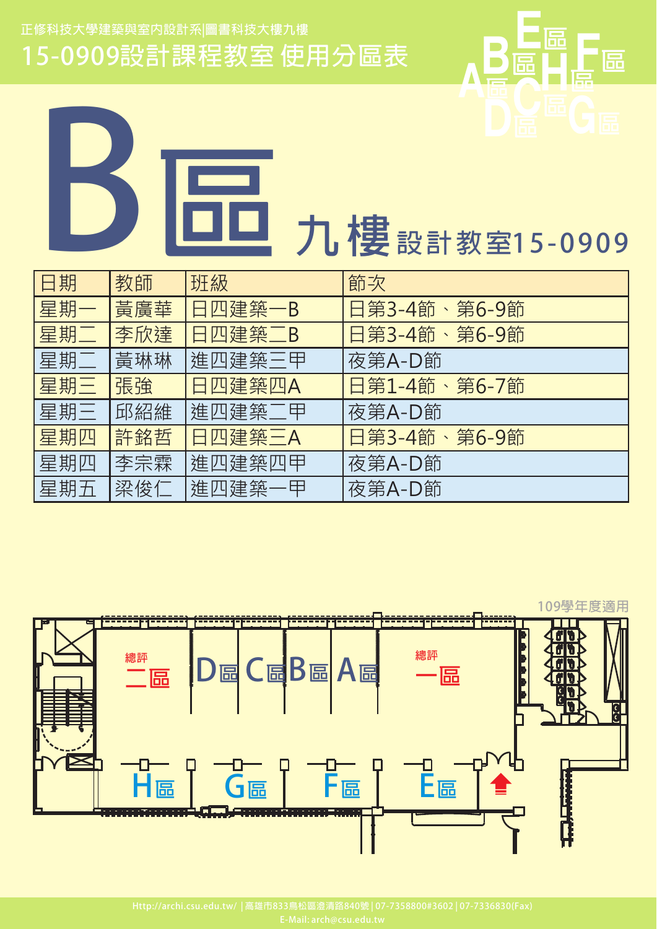

**B,' - 15 0909**

| 日期  | 教師  | 班級     | 節次           |
|-----|-----|--------|--------------|
| 星期一 | 黃廣華 | 日四建築一B | 日第3-4節、第6-9節 |
| 星期二 | 李欣達 | 日四建築二B | 日第3-4節、第6-9節 |
| 星期二 | 黃琳琳 | 進四建築三甲 | 夜第A-D節       |
| 星期三 | 張強  | 日四建築四A | 日第1-4節、第6-7節 |
| 星期三 | 邱紹維 | 進四建築二甲 | 夜第A-D節       |
| 星期四 | 許銘哲 | 日四建築三A | 日第3-4節、第6-9節 |
| 星期四 | 李宗霖 | 進四建築四甲 | 夜第A-D節       |
| 星期五 | 梁俊仁 | 進四建築一甲 | 夜第A-D節       |



**Http://archi.csu.edu.tw/ | 833 
840 | 07-7358800#3602 | 07-7336830(Fax)**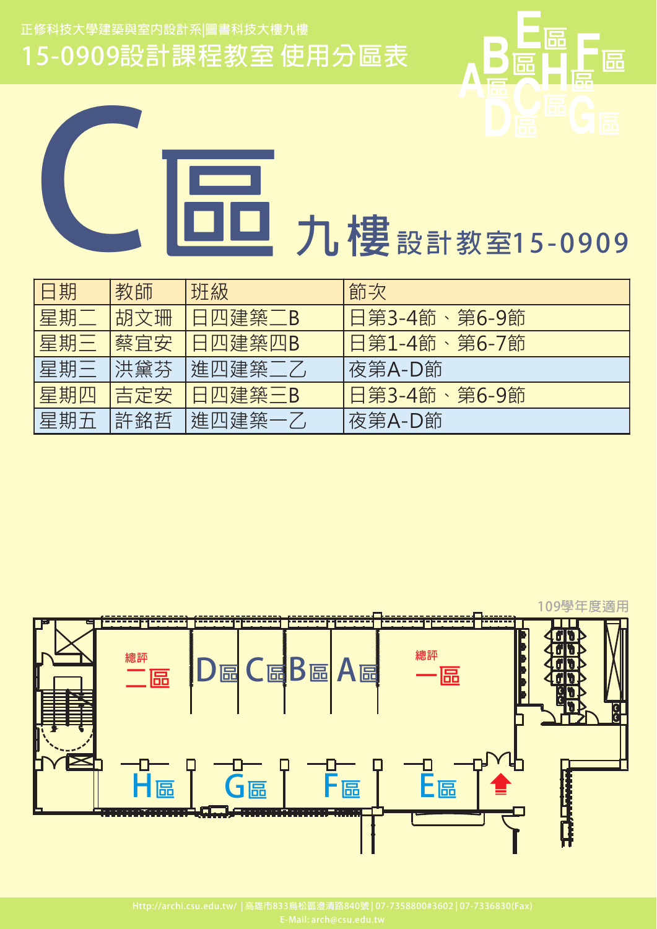

力 樓 設計教室15-0909

| 日期  | 教師  | 班級     | 節次           |
|-----|-----|--------|--------------|
| 星期] | 胡文珊 | 日四建築二B | 日第3-4節、第6-9節 |
| 星期三 | 蔡宜安 | 日四建築四B | 日第1-4節、第6-7節 |
| 星期三 | 洪黛芬 | 進四建築二乙 | 夜第A-D節       |
| 星期四 | 吉定安 | 日四建築三B | 日第3-4節、第6-9節 |
| 星期五 | 許銘哲 | 進四建築一乙 | 夜第A-D節       |

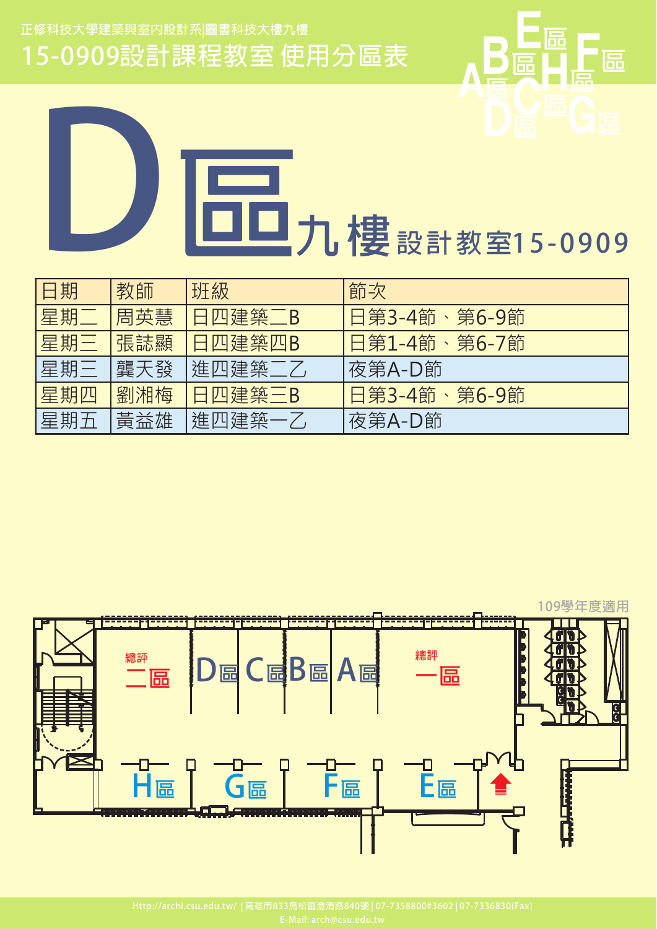

**D,' - 15 0909**

| 日期  | 教師  | 班級     | 節次           |
|-----|-----|--------|--------------|
| 星期  | 周英慧 | 日四建築二B | 日第3-4節、第6-9節 |
| 星期三 | 張誌顯 | 日四建築四B | 日第1-4節、第6-7節 |
| 星期三 | 龔天發 | 進四建築二乙 | 夜第A-D節       |
| 星期四 | 劉湘梅 | 日四建築三B | 日第3-4節、第6-9節 |
| 星期五 | 黃益雄 | 進四建築一乙 | 夜第A-D節       |

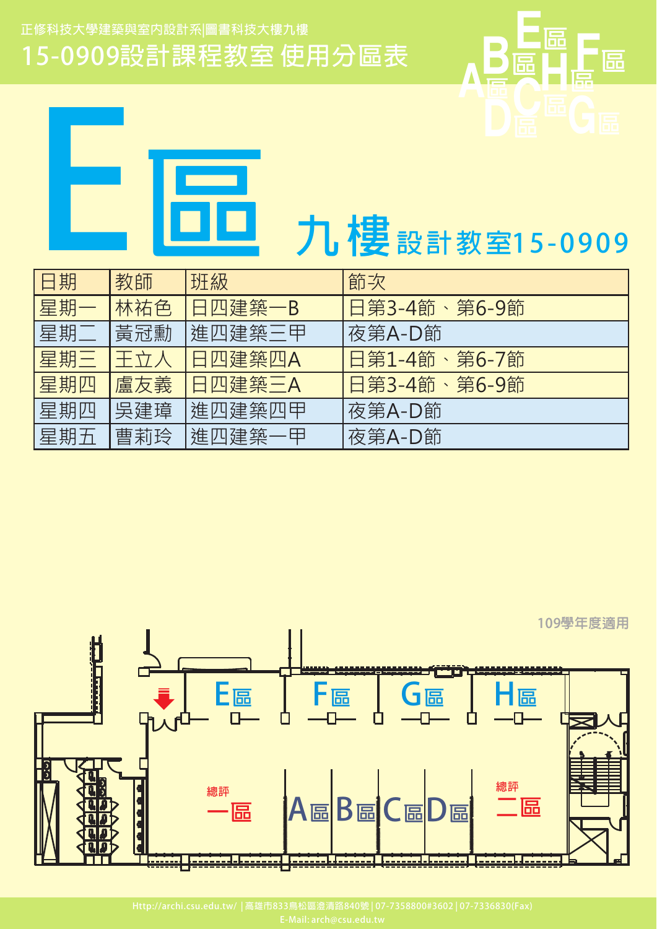



| 口册  | 敘剛  | 功政            | 即火           |
|-----|-----|---------------|--------------|
| 星期一 | 林祐色 | 日四建築一B        | 日第3-4節、第6-9節 |
| 星期] | 黃冠勳 | 進四建築三甲        | 夜第A-D節       |
| 星期三 | 王立人 | 日四建築四A        | 日第1-4節、第6-7節 |
| 星期四 | 盧友義 | <b>日四建築三A</b> | 日第3-4節、第6-9節 |
| 星期四 | 吳建璋 | 進四建築四甲        | 夜第A-D節       |
| 星期五 | 曹莉玲 | 進四建築一甲        | 夜第A-D節       |
|     |     |               |              |

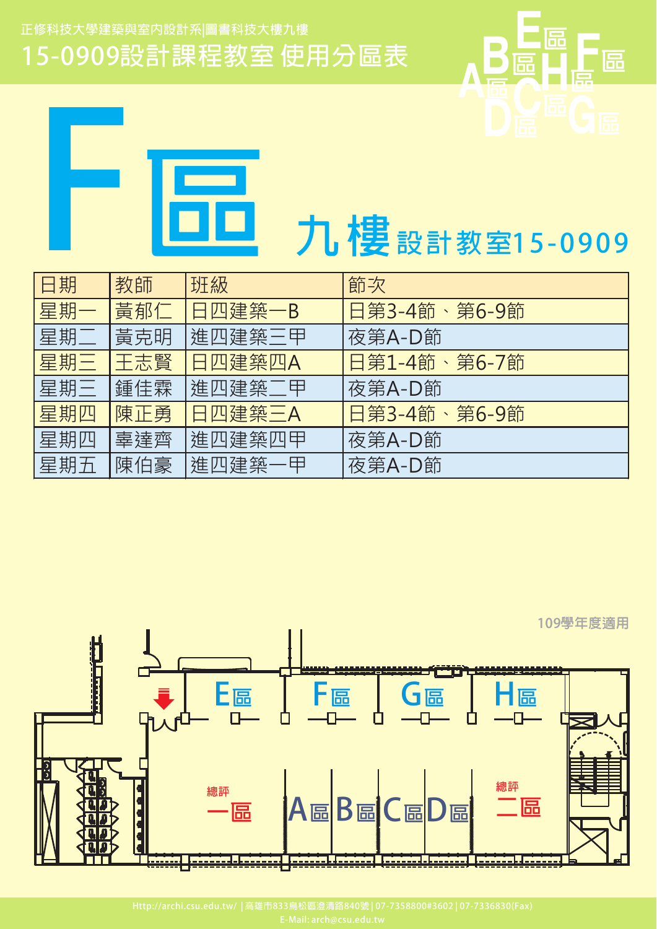

愠

區

| 日期  | 教師  | 班級            | 節次           |
|-----|-----|---------------|--------------|
| 星期一 | 黃郁仁 | 日四建築一B        | 日第3-4節、第6-9節 |
| 星期二 | 黃克明 | 進四建築三甲        | 夜第A-D節       |
| 星期三 | 王志賢 | <b>旧四建築四A</b> | 日第1-4節、第6-7節 |
| 星期三 | 鍾佳霖 | 進四建築二甲        | 夜第A-D節       |
| 星期四 | 陳正勇 | 日四建築三A        | 日第3-4節、第6-9節 |
| 星期四 | 辜達齊 | 進四建築四甲        | 夜第A-D節       |
| 星期五 | 陳伯豪 | 進四建築一甲        | 夜第A-D節       |

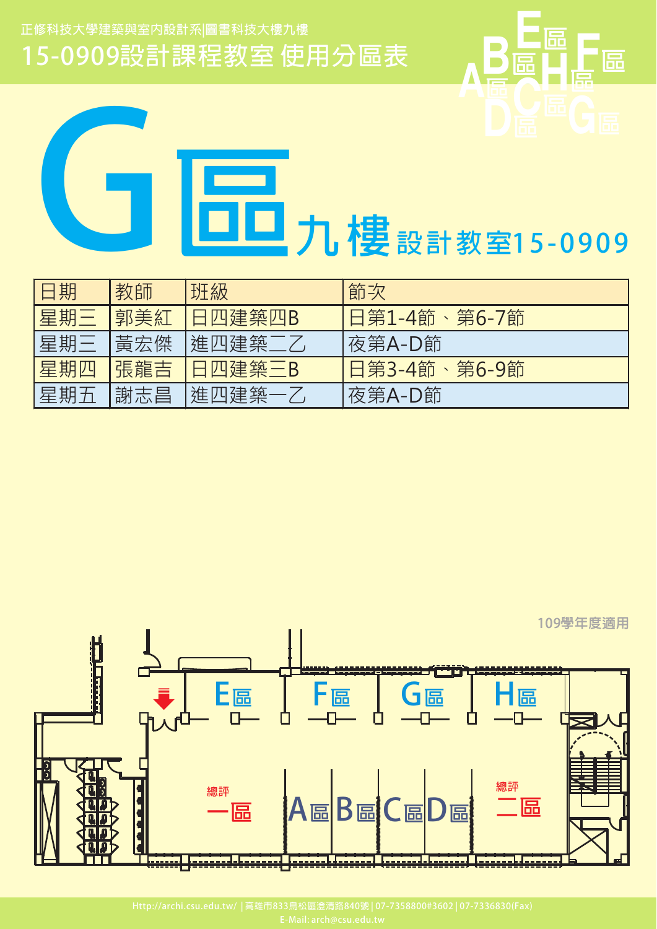**B**   $\overline{\mathbf{D}}$   $\overline{\mathbf{E}}$   $\overline{\mathbf{D}}$   $\overline{\mathbf{E}}$   $\overline{\mathbf{D}}$   $\overline{\mathbf{E}}$ **<sup>E</sup> <sup>F</sup>**   $\mathbf{A}$ 

**CONSTRESS APPLIES** 

| 日期  | 教師  | 班級      | 節次           |
|-----|-----|---------|--------------|
| 星期三 | 郭美紅 | 1日四建築四B | 日第1-4節、第6-7節 |
| 星期三 | 黃宏傑 | 進四建築二乙  | 夜第A-D節       |
| 星期四 | 張龍吉 | 1日四建築三B | 旧第3-4節、第6-9節 |
| 星期五 | 謝志昌 | 進四建築一乙  | 夜第A-D節       |

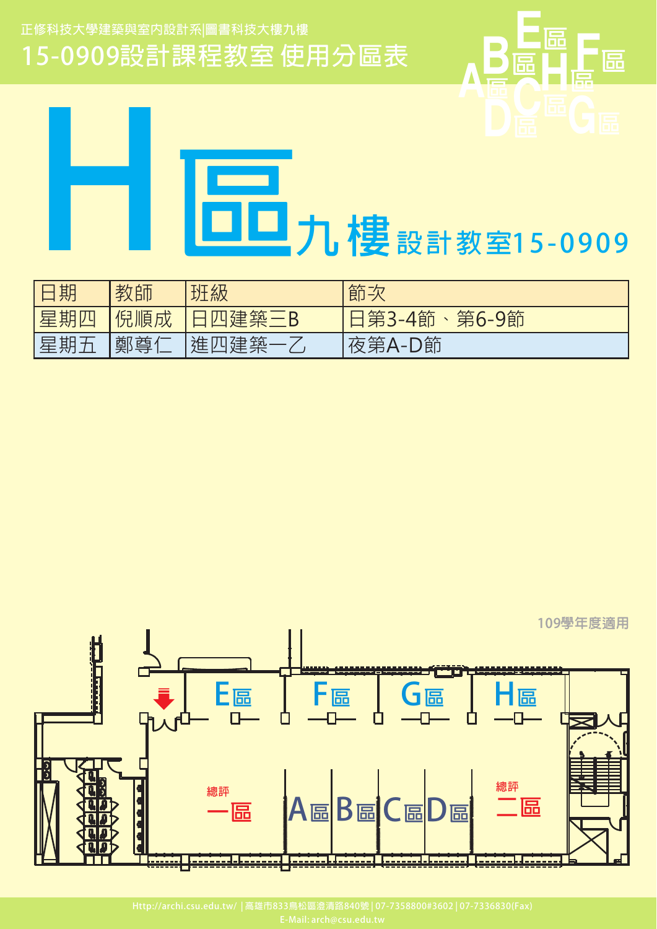



| 日期  | 教師  | 班級     | 節次           |
|-----|-----|--------|--------------|
| 星期四 | 倪順成 | 日四建築三B | 日第3-4節、第6-9節 |
| 星期五 | 鄭尊仁 | 進四建築一  | 夜第A-D節       |

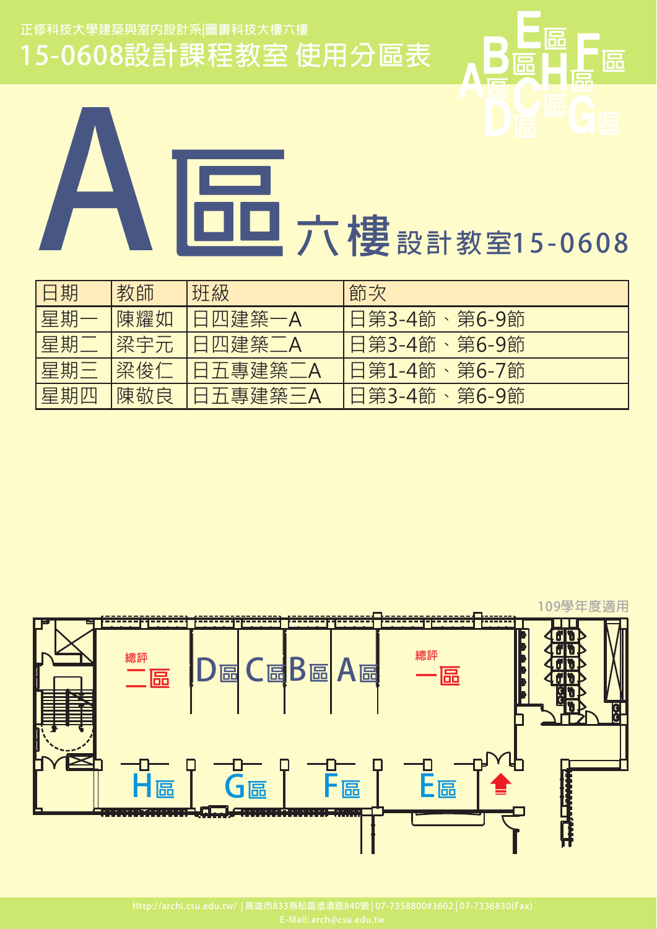15-0608設計課程教室使用分區表



| 旧用期 | 教師  | 班級      | 節次           |
|-----|-----|---------|--------------|
| 星期一 | 陳耀如 | 日四建築一A  | 日第3-4節、第6-9節 |
| 星期  | 梁宇元 | 日四建築二A  | 日第3-4節、第6-9節 |
| 星期三 | 梁俊仁 | 日五專建築二A | 日第1-4節、第6-7節 |
| 星期四 | 陳敬良 | 日五專建築三A | 日第3-4節、第6-9節 |

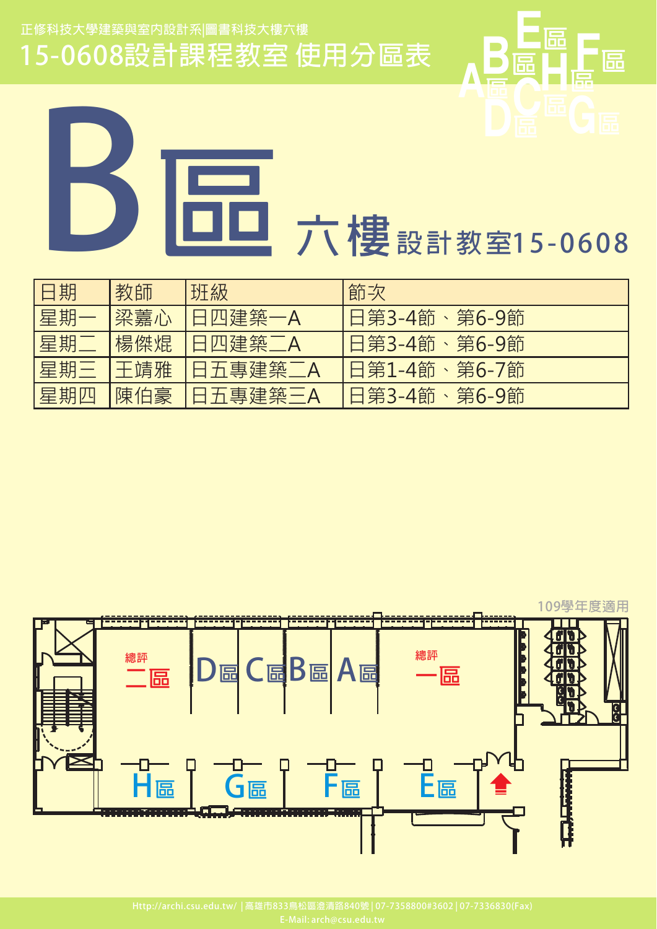15-0608設計課程教室使用分區表



**B** 

**<sup>E</sup> <sup>F</sup>** 

| 日期  | 教師  | 班級      | 節次           |
|-----|-----|---------|--------------|
| 星期一 | 梁藞心 | 日四建築一A  | 日第3-4節、第6-9節 |
| 星期二 | 楊傑焜 | 日四建築二A  | 日第3-4節、第6-9節 |
| 星期三 | 干靖雅 | 日五專建築二A | 日第1-4節、第6-7節 |
| 星期四 | 陳伯豪 | 日五專建築三A | 日第3-4節、第6-9節 |

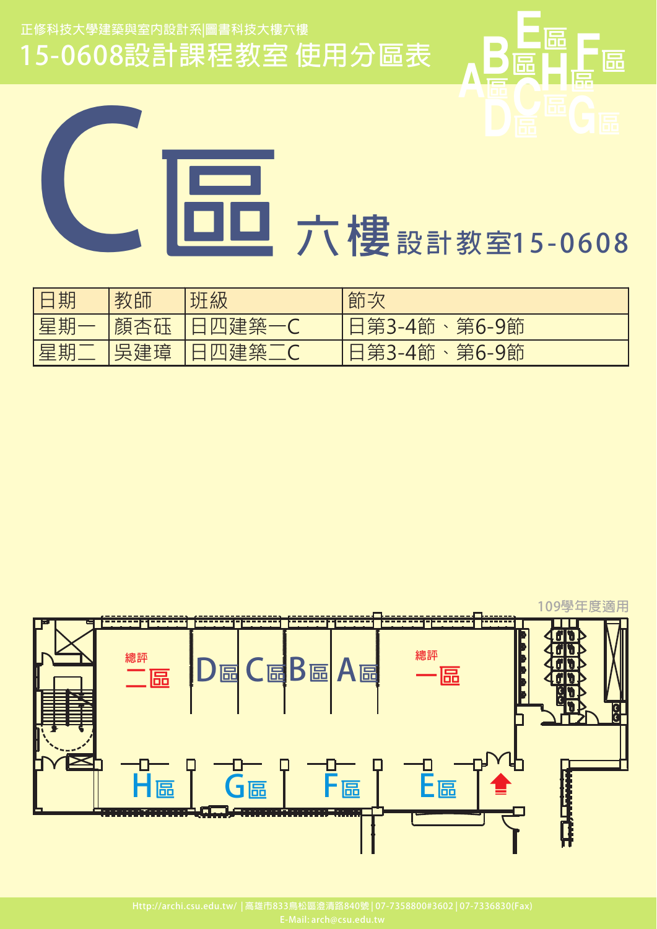15-0608設計課程教室使用分區表



匠

冨

| 日期 | 教師  | 班級     | 節次           |
|----|-----|--------|--------------|
| 星期 | 顏杏砡 | 日四建築一C | 日第3-4節、第6-9節 |
| 星期 | 吳建璋 | 日四建築二C | 日第3-4節、第6-9節 |

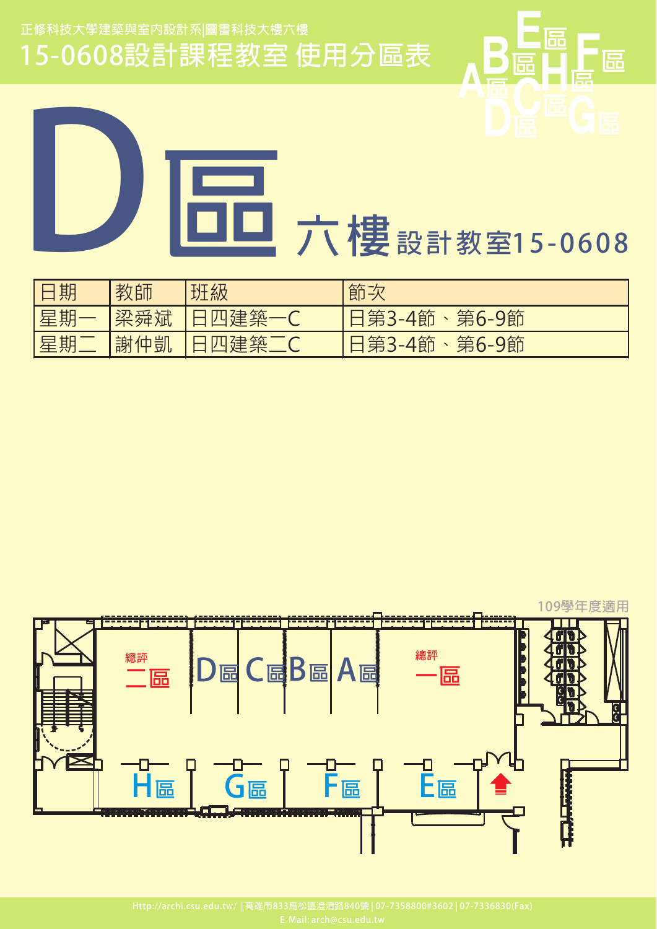15-0608設計課程教室使用分區表



| 日期 | 教師  | 班級                 | 節次           |
|----|-----|--------------------|--------------|
| 星期 | 梁舜斌 | 建築一                | 日第3-4節、第6-9節 |
| 星期 | 謝仲凱 | 建築一(<br>$\sqrt{U}$ | 日第3-4節、第6-9節 |

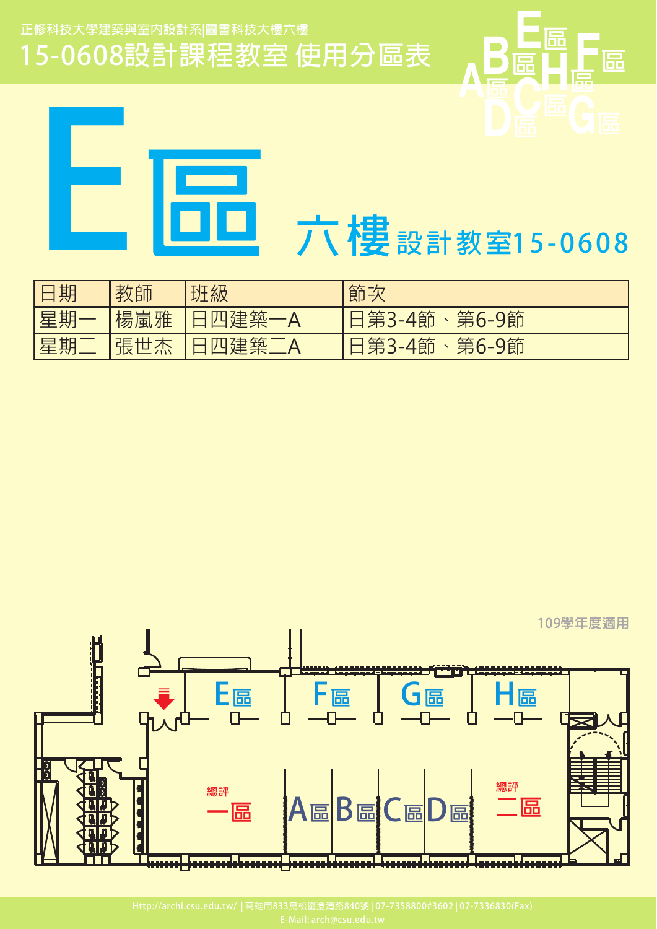15-0608設計課程教室使用分區表





| 旧期  | 教師   | 班級          | 節次           |
|-----|------|-------------|--------------|
| 星期  | 楊嵐雅  | □四建築一^      | 日第3-4節、第6-9節 |
| ┃星期 | '張世. | <u>、建筑了</u> | 日第3-4節、第6-9節 |

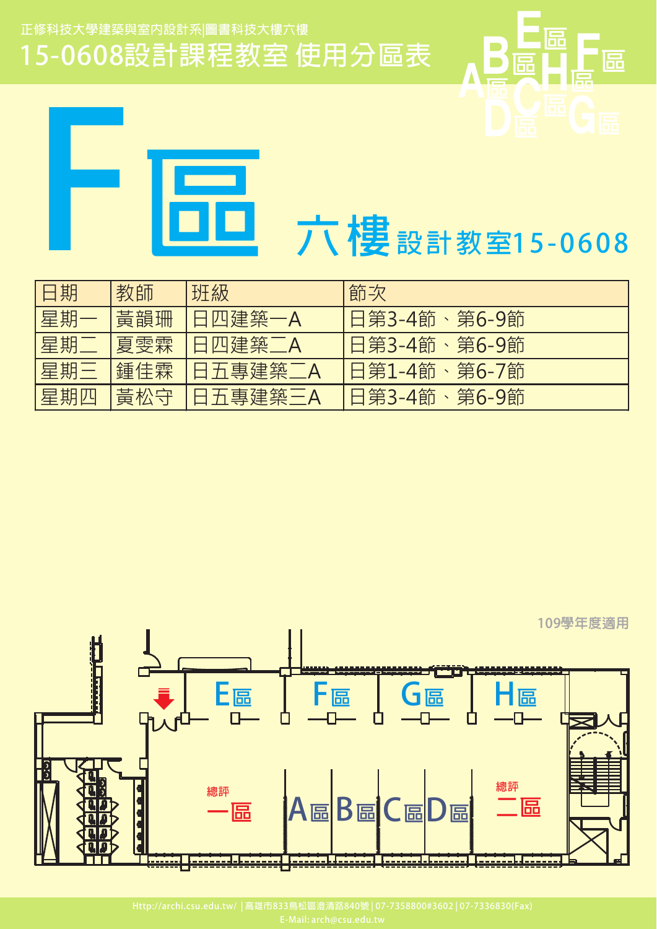15-0608設計課程教室使用分區表



愠

匾

| 日期  | 教師  | 班級      | 節次           |
|-----|-----|---------|--------------|
| 星期一 | 黃韻珊 | 日四建築一A  | 日第3-4節、第6-9節 |
| 星期二 | 夏雯霖 | 日四建築二A  | 日第3-4節、第6-9節 |
| 星期三 | 鍾佳霖 | 日五專建築二A | 日第1-4節、第6-7節 |
| 星期四 | 黃松守 | 日五專建築三A | 日第3-4節、第6-9節 |

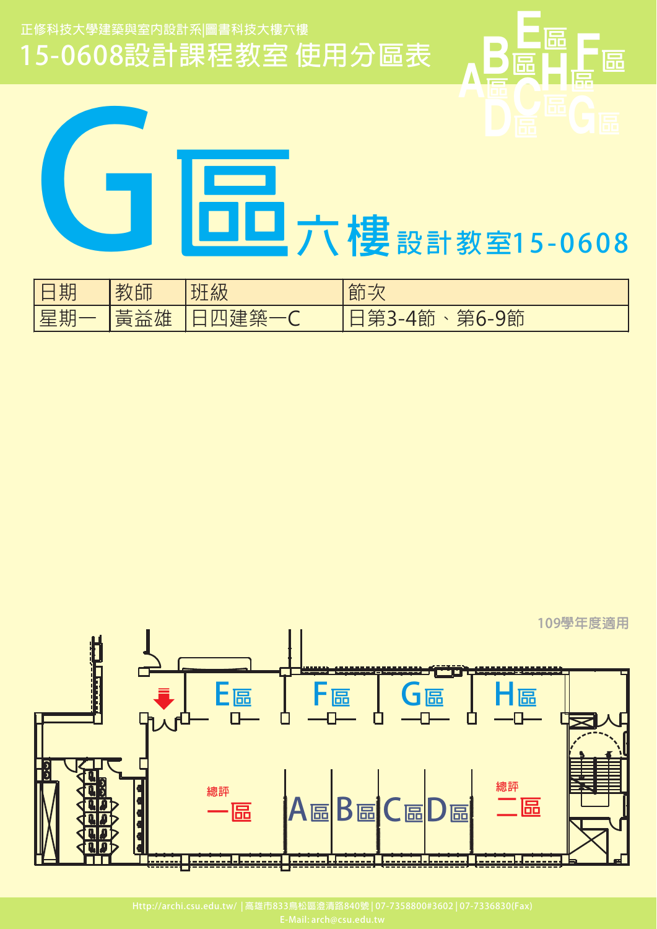

| 期 | 老<br>.帥<br>丁人 | 班級 | んた<br>——<br>——<br>即<br>$ \lambda$          |
|---|---------------|----|--------------------------------------------|
| 期 | 圧<br>公土<br>m  | 工丸 | 9節<br>トケア<br>}-4節<br>$\mp$<br>$\checkmark$ |